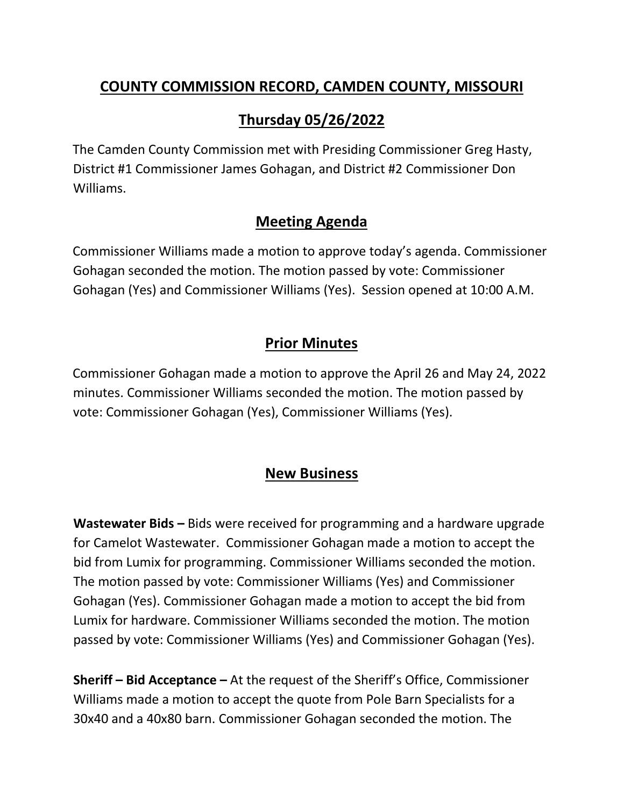#### **COUNTY COMMISSION RECORD, CAMDEN COUNTY, MISSOURI**

# **Thursday 05/26/2022**

The Camden County Commission met with Presiding Commissioner Greg Hasty, District #1 Commissioner James Gohagan, and District #2 Commissioner Don Williams.

#### **Meeting Agenda**

Commissioner Williams made a motion to approve today's agenda. Commissioner Gohagan seconded the motion. The motion passed by vote: Commissioner Gohagan (Yes) and Commissioner Williams (Yes). Session opened at 10:00 A.M.

## **Prior Minutes**

Commissioner Gohagan made a motion to approve the April 26 and May 24, 2022 minutes. Commissioner Williams seconded the motion. The motion passed by vote: Commissioner Gohagan (Yes), Commissioner Williams (Yes).

### **New Business**

**Wastewater Bids –** Bids were received for programming and a hardware upgrade for Camelot Wastewater. Commissioner Gohagan made a motion to accept the bid from Lumix for programming. Commissioner Williams seconded the motion. The motion passed by vote: Commissioner Williams (Yes) and Commissioner Gohagan (Yes). Commissioner Gohagan made a motion to accept the bid from Lumix for hardware. Commissioner Williams seconded the motion. The motion passed by vote: Commissioner Williams (Yes) and Commissioner Gohagan (Yes).

**Sheriff – Bid Acceptance –** At the request of the Sheriff's Office, Commissioner Williams made a motion to accept the quote from Pole Barn Specialists for a 30x40 and a 40x80 barn. Commissioner Gohagan seconded the motion. The